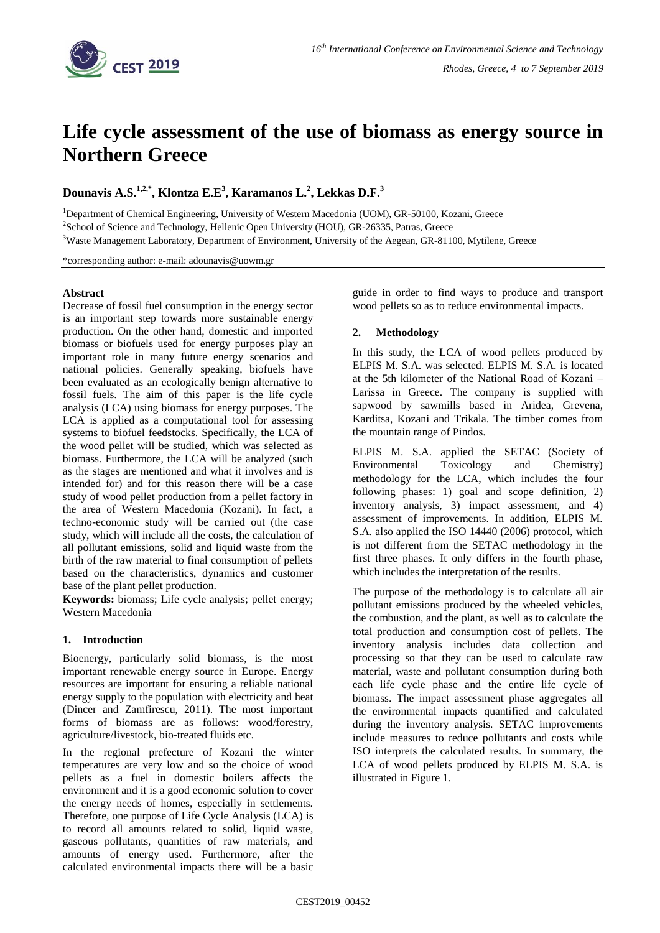

# **Life cycle assessment of the use of biomass as energy source in Northern Greece**

**Dounavis A.S.1,2,\* , Klontza E.E<sup>3</sup> , Karamanos L.<sup>2</sup> , Lekkas D.F.<sup>3</sup>**

<sup>1</sup>Department of Chemical Engineering, University of Western Macedonia (UOM), GR-50100, Kozani, Greece <sup>2</sup>School of Science and Technology, Hellenic Open University (HOU), GR-26335, Patras, Greece

<sup>3</sup>Waste Management Laboratory, Department of Environment, University of the Aegean, GR-81100, Mytilene, Greece

\*corresponding author: e-mail: adounavis@uowm.gr

### **Abstract**

Decrease of fossil fuel consumption in the energy sector is an important step towards more sustainable energy production. On the other hand, domestic and imported biomass or biofuels used for energy purposes play an important role in many future energy scenarios and national policies. Generally speaking, biofuels have been evaluated as an ecologically benign alternative to fossil fuels. The aim of this paper is the life cycle analysis (LCA) using biomass for energy purposes. The LCA is applied as a computational tool for assessing systems to biofuel feedstocks. Specifically, the LCA of the wood pellet will be studied, which was selected as biomass. Furthermore, the LCA will be analyzed (such as the stages are mentioned and what it involves and is intended for) and for this reason there will be a case study of wood pellet production from a pellet factory in the area of Western Macedonia (Kozani). In fact, a techno-economic study will be carried out (the case study, which will include all the costs, the calculation of all pollutant emissions, solid and liquid waste from the birth of the raw material to final consumption of pellets based on the characteristics, dynamics and customer base of the plant pellet production.

**Keywords:** biomass; Life cycle analysis; pellet energy; Western Macedonia

## **1. Introduction**

Bioenergy, particularly solid biomass, is the most important renewable energy source in Europe. Energy resources are important for ensuring a reliable national energy supply to the population with electricity and heat (Dincer and Zamfirescu, 2011). The most important forms of biomass are as follows: wood/forestry, agriculture/livestock, bio-treated fluids etc.

In the regional prefecture of Kozani the winter temperatures are very low and so the choice of wood pellets as a fuel in domestic boilers affects the environment and it is a good economic solution to cover the energy needs of homes, especially in settlements. Therefore, one purpose of Life Cycle Analysis (LCA) is to record all amounts related to solid, liquid waste, gaseous pollutants, quantities of raw materials, and amounts of energy used. Furthermore, after the calculated environmental impacts there will be a basic

guide in order to find ways to produce and transport wood pellets so as to reduce environmental impacts.

## **2. Methodology**

In this study, the LCA of wood pellets produced by ELPIS M. S.A. was selected. ELPIS M. S.A. is located at the 5th kilometer of the National Road of Kozani – Larissa in Greece. The company is supplied with sapwood by sawmills based in Aridea, Grevena, Karditsa, Kozani and Trikala. The timber comes from the mountain range of Pindos.

ELPIS M. S.A. applied the SETAC (Society of Environmental Toxicology and Chemistry) methodology for the LCA, which includes the four following phases: 1) goal and scope definition, 2) inventory analysis, 3) impact assessment, and 4) assessment of improvements. In addition, ELPIS M. S.A. also applied the ISO 14440 (2006) protocol, which is not different from the SETAC methodology in the first three phases. It only differs in the fourth phase, which includes the interpretation of the results.

The purpose of the methodology is to calculate all air pollutant emissions produced by the wheeled vehicles, the combustion, and the plant, as well as to calculate the total production and consumption cost of pellets. The inventory analysis includes data collection and processing so that they can be used to calculate raw material, waste and pollutant consumption during both each life cycle phase and the entire life cycle of biomass. The impact assessment phase aggregates all the environmental impacts quantified and calculated during the inventory analysis. SETAC improvements include measures to reduce pollutants and costs while ISO interprets the calculated results. In summary, the LCA of wood pellets produced by ELPIS M. S.A. is illustrated in Figure 1.